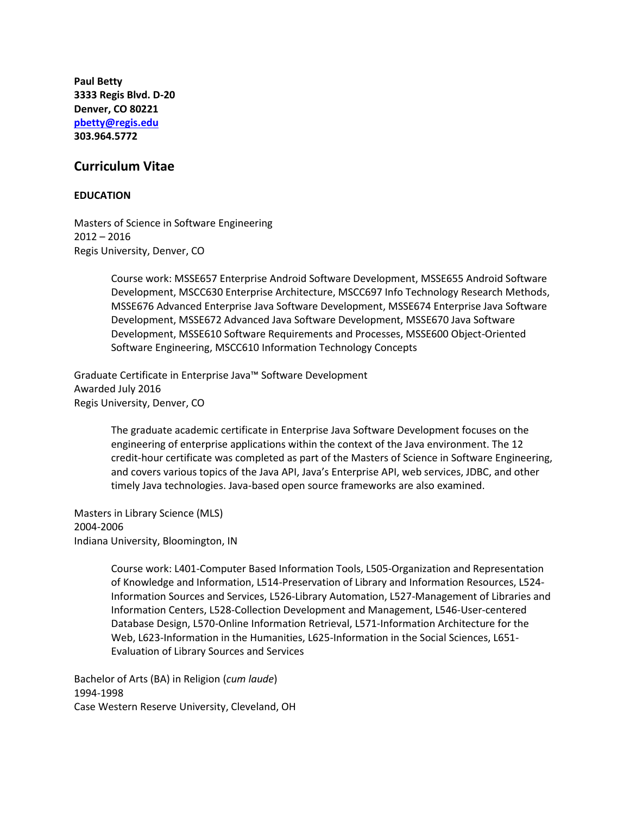**Paul Betty 3333 Regis Blvd. D-20 Denver, CO 80221 [pbetty@regis.edu](mailto:pbetty@regis.edu) 303.964.5772**

# **Curriculum Vitae**

### **EDUCATION**

Masters of Science in Software Engineering 2012 – 2016 Regis University, Denver, CO

> Course work: MSSE657 Enterprise Android Software Development, MSSE655 Android Software Development, MSCC630 Enterprise Architecture, MSCC697 Info Technology Research Methods, MSSE676 Advanced Enterprise Java Software Development, MSSE674 Enterprise Java Software Development, MSSE672 Advanced Java Software Development, MSSE670 Java Software Development, MSSE610 Software Requirements and Processes, MSSE600 Object-Oriented Software Engineering, MSCC610 Information Technology Concepts

Graduate Certificate in Enterprise Java™ Software Development Awarded July 2016 Regis University, Denver, CO

> The graduate academic certificate in Enterprise Java Software Development focuses on the engineering of enterprise applications within the context of the Java environment. The 12 credit-hour certificate was completed as part of the Masters of Science in Software Engineering, and covers various topics of the Java API, Java's Enterprise API, web services, JDBC, and other timely Java technologies. Java-based open source frameworks are also examined.

Masters in Library Science (MLS) 2004-2006 Indiana University, Bloomington, IN

> Course work: L401-Computer Based Information Tools, L505-Organization and Representation of Knowledge and Information, L514-Preservation of Library and Information Resources, L524- Information Sources and Services, L526-Library Automation, L527-Management of Libraries and Information Centers, L528-Collection Development and Management, L546-User-centered Database Design, L570-Online Information Retrieval, L571-Information Architecture for the Web, L623-Information in the Humanities, L625-Information in the Social Sciences, L651- Evaluation of Library Sources and Services

Bachelor of Arts (BA) in Religion (*cum laude*) 1994-1998 Case Western Reserve University, Cleveland, OH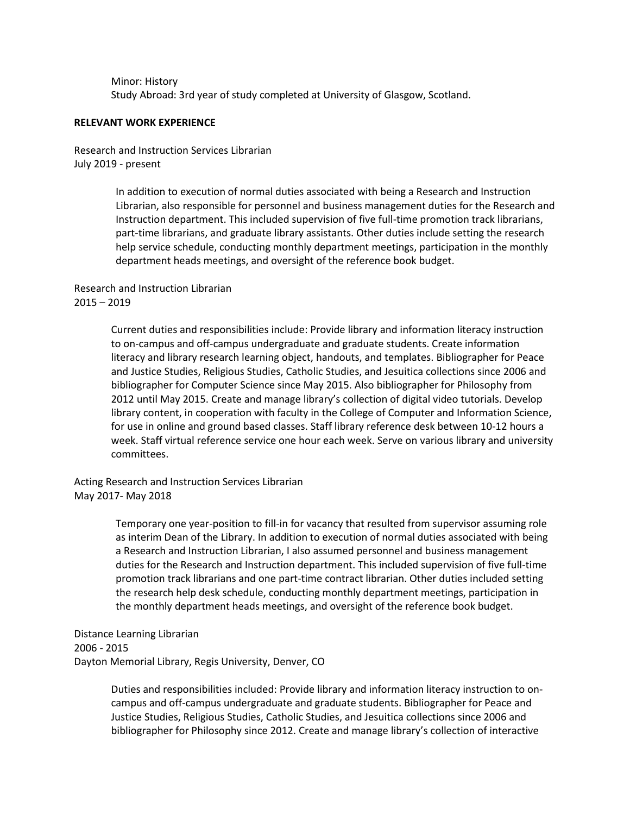Minor: History Study Abroad: 3rd year of study completed at University of Glasgow, Scotland.

### **RELEVANT WORK EXPERIENCE**

Research and Instruction Services Librarian July 2019 - present

> In addition to execution of normal duties associated with being a Research and Instruction Librarian, also responsible for personnel and business management duties for the Research and Instruction department. This included supervision of five full-time promotion track librarians, part-time librarians, and graduate library assistants. Other duties include setting the research help service schedule, conducting monthly department meetings, participation in the monthly department heads meetings, and oversight of the reference book budget.

Research and Instruction Librarian 2015 – 2019

> Current duties and responsibilities include: Provide library and information literacy instruction to on-campus and off-campus undergraduate and graduate students. Create information literacy and library research learning object, handouts, and templates. Bibliographer for Peace and Justice Studies, Religious Studies, Catholic Studies, and Jesuitica collections since 2006 and bibliographer for Computer Science since May 2015. Also bibliographer for Philosophy from 2012 until May 2015. Create and manage library's collection of digital video tutorials. Develop library content, in cooperation with faculty in the College of Computer and Information Science, for use in online and ground based classes. Staff library reference desk between 10-12 hours a week. Staff virtual reference service one hour each week. Serve on various library and university committees.

Acting Research and Instruction Services Librarian May 2017- May 2018

> Temporary one year-position to fill-in for vacancy that resulted from supervisor assuming role as interim Dean of the Library. In addition to execution of normal duties associated with being a Research and Instruction Librarian, I also assumed personnel and business management duties for the Research and Instruction department. This included supervision of five full-time promotion track librarians and one part-time contract librarian. Other duties included setting the research help desk schedule, conducting monthly department meetings, participation in the monthly department heads meetings, and oversight of the reference book budget.

Distance Learning Librarian 2006 - 2015 Dayton Memorial Library, Regis University, Denver, CO

> Duties and responsibilities included: Provide library and information literacy instruction to oncampus and off-campus undergraduate and graduate students. Bibliographer for Peace and Justice Studies, Religious Studies, Catholic Studies, and Jesuitica collections since 2006 and bibliographer for Philosophy since 2012. Create and manage library's collection of interactive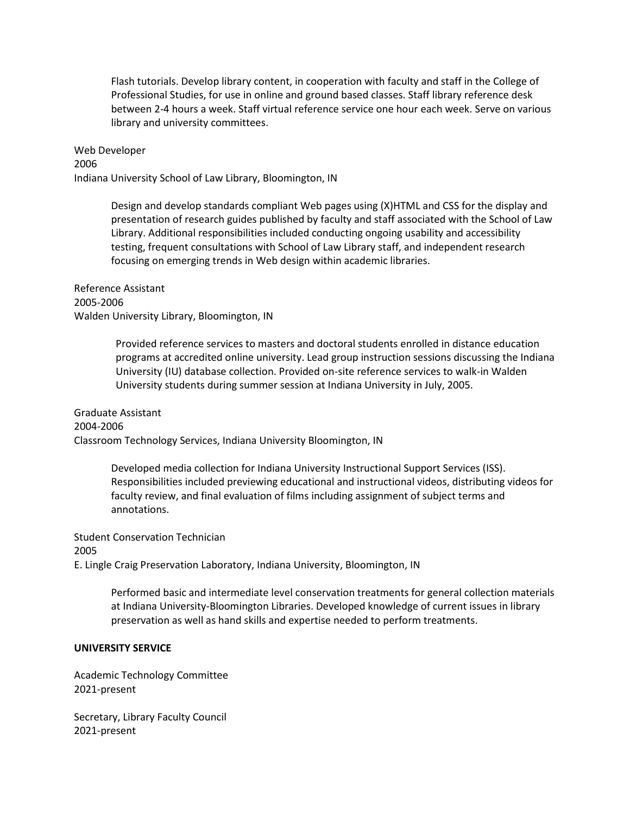Flash tutorials. Develop library content, in cooperation with faculty and staff in the College of Professional Studies, for use in online and ground based classes. Staff library reference desk between 2-4 hours a week. Staff virtual reference service one hour each week. Serve on various library and university committees.

Web Developer 2006 Indiana University School of Law Library, Bloomington, IN

> Design and develop standards compliant Web pages using (X)HTML and CSS for the display and presentation of research guides published by faculty and staff associated with the School of Law Library. Additional responsibilities included conducting ongoing usability and accessibility testing, frequent consultations with School of Law Library staff, and independent research focusing on emerging trends in Web design within academic libraries.

Reference Assistant 2005-2006 Walden University Library, Bloomington, IN

> Provided reference services to masters and doctoral students enrolled in distance education programs at accredited online university. Lead group instruction sessions discussing the Indiana University (IU) database collection. Provided on-site reference services to walk-in Walden University students during summer session at Indiana University in July, 2005.

Graduate Assistant 2004-2006 Classroom Technology Services, Indiana University Bloomington, IN

> Developed media collection for Indiana University Instructional Support Services (ISS). Responsibilities included previewing educational and instructional videos, distributing videos for faculty review, and final evaluation of films including assignment of subject terms and annotations.

Student Conservation Technician 2005 E. Lingle Craig Preservation Laboratory, Indiana University, Bloomington, IN

> Performed basic and intermediate level conservation treatments for general collection materials at Indiana University-Bloomington Libraries. Developed knowledge of current issues in library preservation as well as hand skills and expertise needed to perform treatments.

# **UNIVERSITY SERVICE**

Academic Technology Committee 2021-present

Secretary, Library Faculty Council 2021-present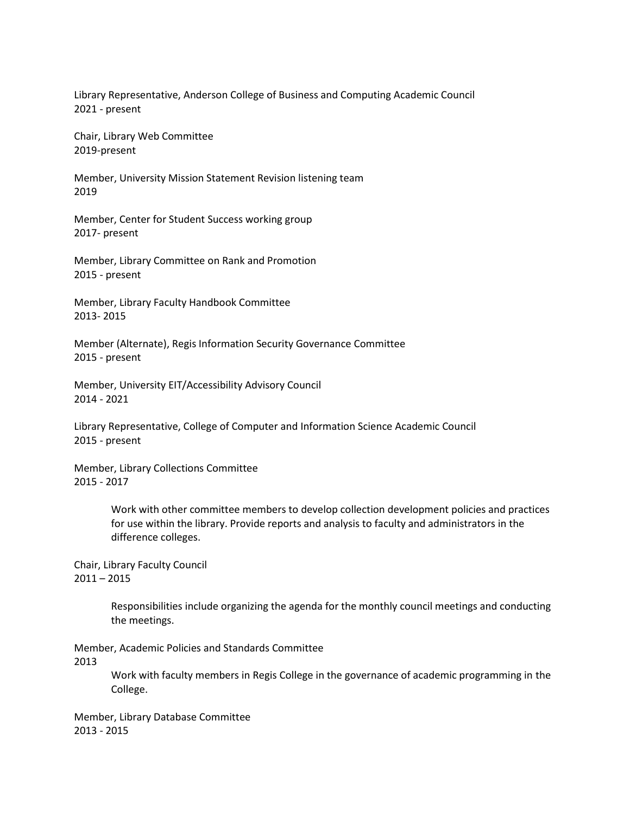Library Representative, Anderson College of Business and Computing Academic Council 2021 - present

Chair, Library Web Committee 2019-present

Member, University Mission Statement Revision listening team 2019

Member, Center for Student Success working group 2017- present

Member, Library Committee on Rank and Promotion 2015 - present

Member, Library Faculty Handbook Committee 2013- 2015

Member (Alternate), Regis Information Security Governance Committee 2015 - present

Member, University EIT/Accessibility Advisory Council 2014 - 2021

Library Representative, College of Computer and Information Science Academic Council 2015 - present

Member, Library Collections Committee 2015 - 2017

> Work with other committee members to develop collection development policies and practices for use within the library. Provide reports and analysis to faculty and administrators in the difference colleges.

Chair, Library Faculty Council  $2011 - 2015$ 

> Responsibilities include organizing the agenda for the monthly council meetings and conducting the meetings.

Member, Academic Policies and Standards Committee 2013

> Work with faculty members in Regis College in the governance of academic programming in the College.

Member, Library Database Committee 2013 - 2015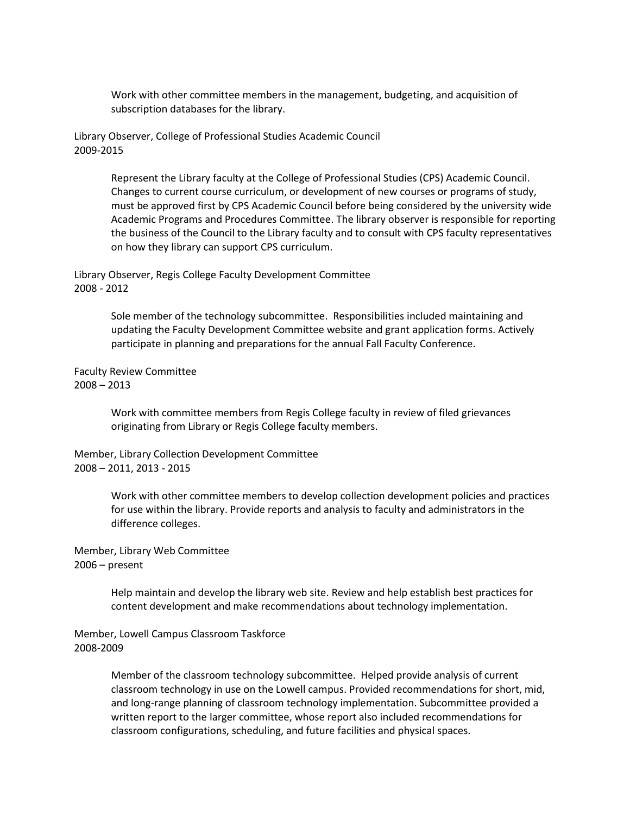Work with other committee members in the management, budgeting, and acquisition of subscription databases for the library.

Library Observer, College of Professional Studies Academic Council 2009-2015

> Represent the Library faculty at the College of Professional Studies (CPS) Academic Council. Changes to current course curriculum, or development of new courses or programs of study, must be approved first by CPS Academic Council before being considered by the university wide Academic Programs and Procedures Committee. The library observer is responsible for reporting the business of the Council to the Library faculty and to consult with CPS faculty representatives on how they library can support CPS curriculum.

Library Observer, Regis College Faculty Development Committee 2008 - 2012

> Sole member of the technology subcommittee. Responsibilities included maintaining and updating the Faculty Development Committee website and grant application forms. Actively participate in planning and preparations for the annual Fall Faculty Conference.

Faculty Review Committee 2008 – 2013

> Work with committee members from Regis College faculty in review of filed grievances originating from Library or Regis College faculty members.

Member, Library Collection Development Committee 2008 – 2011, 2013 - 2015

> Work with other committee members to develop collection development policies and practices for use within the library. Provide reports and analysis to faculty and administrators in the difference colleges.

Member, Library Web Committee 2006 – present

> Help maintain and develop the library web site. Review and help establish best practices for content development and make recommendations about technology implementation.

Member, Lowell Campus Classroom Taskforce 2008-2009

> Member of the classroom technology subcommittee. Helped provide analysis of current classroom technology in use on the Lowell campus. Provided recommendations for short, mid, and long-range planning of classroom technology implementation. Subcommittee provided a written report to the larger committee, whose report also included recommendations for classroom configurations, scheduling, and future facilities and physical spaces.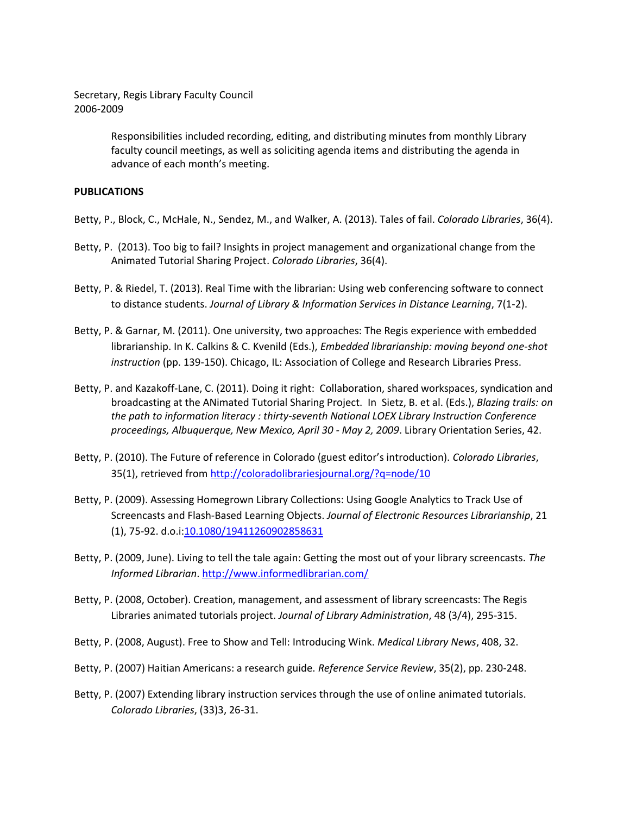Secretary, Regis Library Faculty Council 2006-2009

> Responsibilities included recording, editing, and distributing minutes from monthly Library faculty council meetings, as well as soliciting agenda items and distributing the agenda in advance of each month's meeting.

### **PUBLICATIONS**

- Betty, P., Block, C., McHale, N., Sendez, M., and Walker, A. (2013). Tales of fail. *Colorado Libraries*, 36(4).
- Betty, P. (2013). Too big to fail? Insights in project management and organizational change from the Animated Tutorial Sharing Project. *Colorado Libraries*, 36(4).
- Betty, P. & Riedel, T. (2013). Real Time with the librarian: Using web conferencing software to connect to distance students. *Journal of Library & Information Services in Distance Learning*, 7(1-2).
- Betty, P. & Garnar, M. (2011). One university, two approaches: The Regis experience with embedded librarianship. In K. Calkins & C. Kvenild (Eds.), *Embedded librarianship: moving beyond one-shot instruction* (pp. 139-150). Chicago, IL: Association of College and Research Libraries Press.
- Betty, P. and Kazakoff-Lane, C. (2011). Doing it right: Collaboration, shared workspaces, syndication and broadcasting at the ANimated Tutorial Sharing Project. In Sietz, B. et al. (Eds.), *Blazing trails: on the path to information literacy : thirty-seventh National LOEX Library Instruction Conference proceedings, Albuquerque, New Mexico, April 30 - May 2, 2009*. Library Orientation Series, 42.
- Betty, P. (2010). The Future of reference in Colorado (guest editor's introduction). *Colorado Libraries*, 35(1), retrieved from<http://coloradolibrariesjournal.org/?q=node/10>
- Betty, P. (2009). Assessing Homegrown Library Collections: Using Google Analytics to Track Use of Screencasts and Flash-Based Learning Objects. *Journal of Electronic Resources Librarianship*, 21 (1), 75-92. d.o.i[:10.1080/19411260902858631](http://rg2sj2cs3c.search.serialssolutions.com/?url_ver=Z39.88-2004&rft_val_fmt=info:ofi/fmt:kev:mtx:journal&__char_set=utf8&rft_id=info:doi/10.1080/19411260902858631&rfr_id=info:sid/libx&rft.genre=article)
- Betty, P. (2009, June). Living to tell the tale again: Getting the most out of your library screencasts. *The Informed Librarian*[. http://www.informedlibrarian.com/](http://www.informedlibrarian.com/)
- Betty, P. (2008, October). Creation, management, and assessment of library screencasts: The Regis Libraries animated tutorials project. *Journal of Library Administration*, 48 (3/4), 295-315.
- Betty, P. (2008, August). Free to Show and Tell: Introducing Wink. *Medical Library News*, 408, 32.
- Betty, P. (2007) Haitian Americans: a research guide. *Reference Service Review*, 35(2), pp. 230-248.
- Betty, P. (2007) Extending library instruction services through the use of online animated tutorials. *Colorado Libraries*, (33)3, 26-31.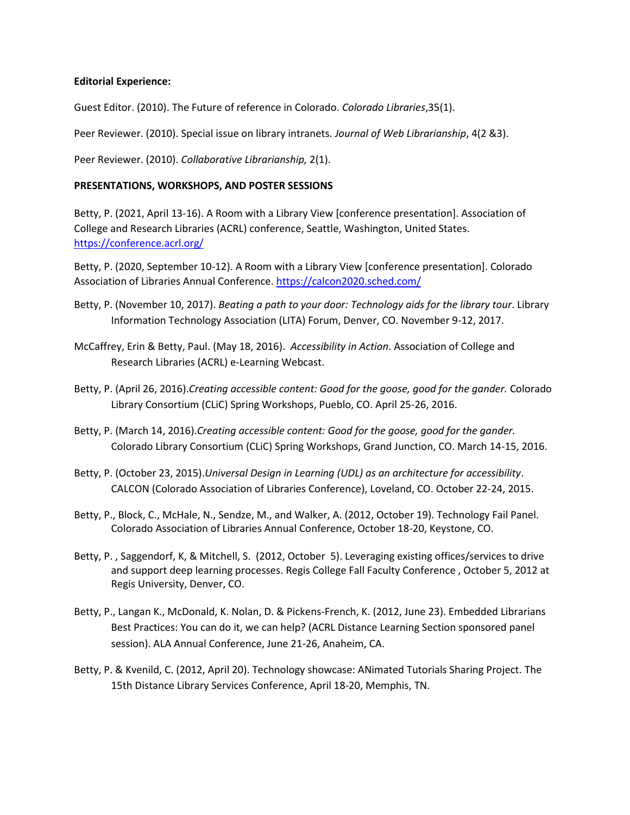# **Editorial Experience:**

Guest Editor. (2010). The Future of reference in Colorado. *Colorado Libraries*,35(1).

Peer Reviewer. (2010). Special issue on library intranets. *Journal of Web Librarianship*, 4(2 &3).

Peer Reviewer. (2010). *Collaborative Librarianship,* 2(1).

# **PRESENTATIONS, WORKSHOPS, AND POSTER SESSIONS**

Betty, P. (2021, April 13-16). A Room with a Library View [conference presentation]. Association of College and Research Libraries (ACRL) conference, Seattle, Washington, United States. <https://conference.acrl.org/>

Betty, P. (2020, September 10-12). A Room with a Library View [conference presentation]. Colorado Association of Libraries Annual Conference. <https://calcon2020.sched.com/>

- Betty, P. (November 10, 2017). *Beating a path to your door: Technology aids for the library tour*. Library Information Technology Association (LITA) Forum, Denver, CO. November 9-12, 2017.
- McCaffrey, Erin & Betty, Paul. (May 18, 2016). *Accessibility in Action*. Association of College and Research Libraries (ACRL) e-Learning Webcast.
- Betty, P. (April 26, 2016).*Creating accessible content: Good for the goose, good for the gander.* Colorado Library Consortium (CLiC) Spring Workshops, Pueblo, CO. April 25-26, 2016.
- Betty, P. (March 14, 2016).*Creating accessible content: Good for the goose, good for the gander.* Colorado Library Consortium (CLiC) Spring Workshops, Grand Junction, CO. March 14-15, 2016.
- Betty, P. (October 23, 2015).*Universal Design in Learning (UDL) as an architecture for accessibility*. CALCON (Colorado Association of Libraries Conference), Loveland, CO. October 22-24, 2015.
- Betty, P., Block, C., McHale, N., Sendze, M., and Walker, A. (2012, October 19). Technology Fail Panel. Colorado Association of Libraries Annual Conference, October 18-20, Keystone, CO.
- Betty, P. , Saggendorf, K, & Mitchell, S. (2012, October 5). Leveraging existing offices/services to drive and support deep learning processes. Regis College Fall Faculty Conference , October 5, 2012 at Regis University, Denver, CO.
- Betty, P., Langan K., McDonald, K. Nolan, D. & Pickens-French, K. (2012, June 23). Embedded Librarians Best Practices: You can do it, we can help? (ACRL Distance Learning Section sponsored panel session). ALA Annual Conference, June 21-26, Anaheim, CA.
- Betty, P. & Kvenild, C. (2012, April 20). Technology showcase: ANimated Tutorials Sharing Project. The 15th Distance Library Services Conference, April 18-20, Memphis, TN.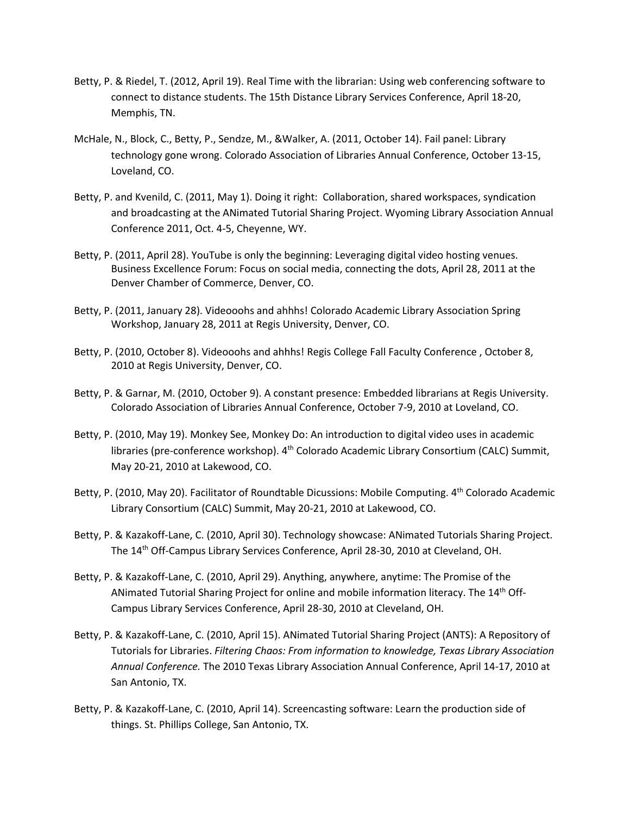- Betty, P. & Riedel, T. (2012, April 19). Real Time with the librarian: Using web conferencing software to connect to distance students. The 15th Distance Library Services Conference, April 18-20, Memphis, TN.
- McHale, N., Block, C., Betty, P., Sendze, M., &Walker, A. (2011, October 14). Fail panel: Library technology gone wrong. Colorado Association of Libraries Annual Conference, October 13-15, Loveland, CO.
- Betty, P. and Kvenild, C. (2011, May 1). Doing it right: Collaboration, shared workspaces, syndication and broadcasting at the ANimated Tutorial Sharing Project. Wyoming Library Association Annual Conference 2011, Oct. 4-5, Cheyenne, WY.
- Betty, P. (2011, April 28). YouTube is only the beginning: Leveraging digital video hosting venues. Business Excellence Forum: Focus on social media, connecting the dots, April 28, 2011 at the Denver Chamber of Commerce, Denver, CO.
- Betty, P. (2011, January 28). Videooohs and ahhhs! Colorado Academic Library Association Spring Workshop, January 28, 2011 at Regis University, Denver, CO.
- Betty, P. (2010, October 8). Videooohs and ahhhs! Regis College Fall Faculty Conference, October 8, 2010 at Regis University, Denver, CO.
- Betty, P. & Garnar, M. (2010, October 9). A constant presence: Embedded librarians at Regis University. Colorado Association of Libraries Annual Conference, October 7-9, 2010 at Loveland, CO.
- Betty, P. (2010, May 19). Monkey See, Monkey Do: An introduction to digital video uses in academic libraries (pre-conference workshop). 4<sup>th</sup> Colorado Academic Library Consortium (CALC) Summit, May 20-21, 2010 at Lakewood, CO.
- Betty, P. (2010, May 20). Facilitator of Roundtable Dicussions: Mobile Computing. 4<sup>th</sup> Colorado Academic Library Consortium (CALC) Summit, May 20-21, 2010 at Lakewood, CO.
- Betty, P. & Kazakoff-Lane, C. (2010, April 30). Technology showcase: ANimated Tutorials Sharing Project. The 14<sup>th</sup> Off-Campus Library Services Conference, April 28-30, 2010 at Cleveland, OH.
- Betty, P. & Kazakoff-Lane, C. (2010, April 29). Anything, anywhere, anytime: The Promise of the ANimated Tutorial Sharing Project for online and mobile information literacy. The 14<sup>th</sup> Off-Campus Library Services Conference, April 28-30, 2010 at Cleveland, OH.
- Betty, P. & Kazakoff-Lane, C. (2010, April 15). ANimated Tutorial Sharing Project (ANTS): A Repository of Tutorials for Libraries. *Filtering Chaos: From information to knowledge, Texas Library Association Annual Conference.* The 2010 Texas Library Association Annual Conference, April 14-17, 2010 at San Antonio, TX.
- Betty, P. & Kazakoff-Lane, C. (2010, April 14). Screencasting software: Learn the production side of things. St. Phillips College, San Antonio, TX.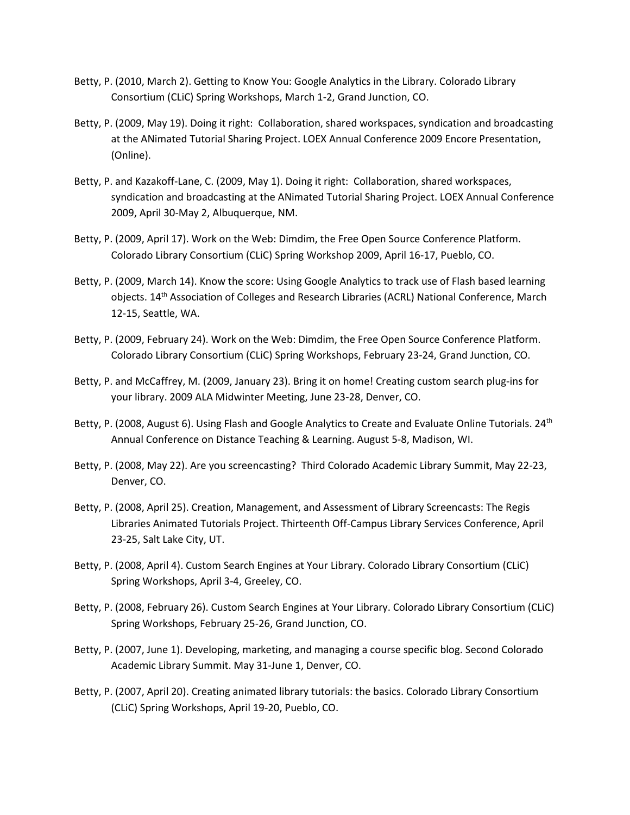- Betty, P. (2010, March 2). Getting to Know You: Google Analytics in the Library. Colorado Library Consortium (CLiC) Spring Workshops, March 1-2, Grand Junction, CO.
- Betty, P. (2009, May 19). Doing it right: Collaboration, shared workspaces, syndication and broadcasting at the ANimated Tutorial Sharing Project. LOEX Annual Conference 2009 Encore Presentation, (Online).
- Betty, P. and Kazakoff-Lane, C. (2009, May 1). Doing it right: Collaboration, shared workspaces, syndication and broadcasting at the ANimated Tutorial Sharing Project. LOEX Annual Conference 2009, April 30-May 2, Albuquerque, NM.
- Betty, P. (2009, April 17). Work on the Web: Dimdim, the Free Open Source Conference Platform. Colorado Library Consortium (CLiC) Spring Workshop 2009, April 16-17, Pueblo, CO.
- Betty, P. (2009, March 14). Know the score: Using Google Analytics to track use of Flash based learning objects. 14th Association of Colleges and Research Libraries (ACRL) National Conference, March 12-15, Seattle, WA.
- Betty, P. (2009, February 24). Work on the Web: Dimdim, the Free Open Source Conference Platform. Colorado Library Consortium (CLiC) Spring Workshops, February 23-24, Grand Junction, CO.
- Betty, P. and McCaffrey, M. (2009, January 23). Bring it on home! Creating custom search plug-ins for your library. 2009 ALA Midwinter Meeting, June 23-28, Denver, CO.
- Betty, P. (2008, August 6). Using Flash and Google Analytics to Create and Evaluate Online Tutorials. 24<sup>th</sup> Annual Conference on Distance Teaching & Learning. August 5-8, Madison, WI.
- Betty, P. (2008, May 22). Are you screencasting? Third Colorado Academic Library Summit, May 22-23, Denver, CO.
- Betty, P. (2008, April 25). Creation, Management, and Assessment of Library Screencasts: The Regis Libraries Animated Tutorials Project. Thirteenth Off-Campus Library Services Conference, April 23-25, Salt Lake City, UT.
- Betty, P. (2008, April 4). Custom Search Engines at Your Library. Colorado Library Consortium (CLiC) Spring Workshops, April 3-4, Greeley, CO.
- Betty, P. (2008, February 26). Custom Search Engines at Your Library. Colorado Library Consortium (CLiC) Spring Workshops, February 25-26, Grand Junction, CO.
- Betty, P. (2007, June 1). Developing, marketing, and managing a course specific blog. Second Colorado Academic Library Summit. May 31-June 1, Denver, CO.
- Betty, P. (2007, April 20). Creating animated library tutorials: the basics. Colorado Library Consortium (CLiC) Spring Workshops, April 19-20, Pueblo, CO.